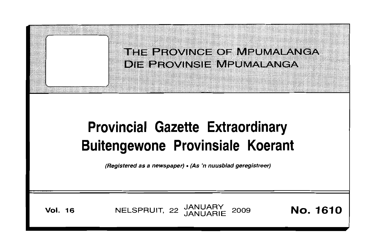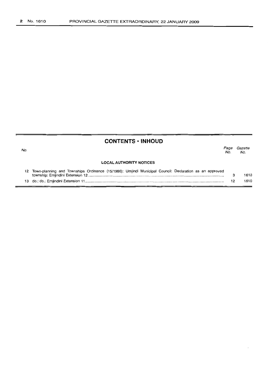No.

# **CONTENTS • INHOUD**

Page Gazette No. No.

#### **LOCAL AUTHORITY NOTICES**

| 12 Town-planning and Townships Ordinance (15/1986): Umjindi Municipal Council: Declaration as an approved |      |
|-----------------------------------------------------------------------------------------------------------|------|
|                                                                                                           | 1610 |
|                                                                                                           | 1610 |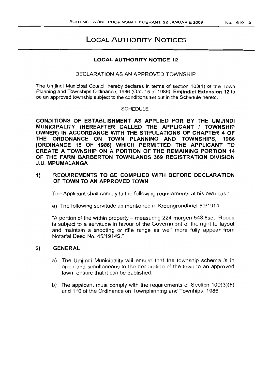# **LOCAL AUTHORITY NOTICES**

### **LOCAL AUTHORITY NOTICE 12**

### DECLARATION AS AN APPROVED TOWNSHIP

The Umjindi Municipal Council hereby declares in terms of section 103(1) of the Town Planning and Townships Ordinance, 1986 (Ord. 15 of 1986), **Emjindini Extension 12** to be an approved township subject to the conditions set out in the Schedule hereto.

### SCHEDULE

**CONDITIONS OF ESTABLISHMENT AS APPLIED FOR BY THE UMJINDI MUNICIPALITY (HEREAFTER CALLED THE APPLICANT I TOWNSHIP OWNER) IN ACCORDANCE WITH THE STIPULATIONS OF CHAPTER 4 OF THE ORDONANCE** ONI **TOWN PLANNING AND TOWNSHIPS, 1986 (ORDINANCE 15 OF 1986) WHICH PERMITTED THE APPLICANT TO CREATE A TOWNSHIP ON A PORTION OF THE REMAINING PORTION 14 OF THE FARM BARBERTON TOWNLANDS 369 REGISTRATION DIVISION** J.U. **MPUMALANGA**

# **1) REQUIREMENTS TO BE COMPLIED WITH BEFORE DECLARATION OF TOWN TO AN APPROVED TOWN**

The Applicant shall comply to the following requirements at his own cost:

a) The following servitude as mentioned in Kroongrondbrief 69/1914

"A portion of the within property - measuring 224 morgen 543,5sq. Roods is subject to a servitude in favour of the Government of the right to layout and maintain a shooting or rifle range as well more fully appear from Notarial Deed No. 45/1914S."

# **2) GENERAL**

- a) The Umjindi Municipality will ensure that the township schema is in order and simultaneous to the declaration of the town to an approved town, ensure that it can be published.
- b) The applicant must comply with the requirements of Section 109(3)(6) and 110 of the Ordinance on Townplanning and Townhips, 1986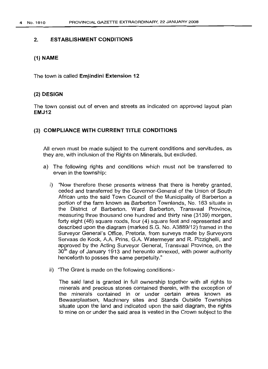### 2. ESTABLISHMENT CONDITIONS

### (1) NAME

The town is called Emjindini Extension 12

### (2) DESIGN

The town consist out of erven and streets as indicated on approved layout plan EMJ12

### (3) COMPLIANCE WITH CURRENT TITLE CONDITIONS

All erven must be made subject to the current conditions and servitudes, as they are, with inclusion of the Rights on Minerals, but excluded.

- a) The following rights and conditions which must not be transferred to erven in the township:
	- i) "Now therefore these presents witness that there is hereby granted, ceded and transferred by the Governor-General of the Union of South African unto the said Town Council of the Municipality of Barberton a portion of the farm known as Barberton Townlands, No. 163 situate in the District of Barberton, Ward Barberton, Transvaal Province, measuring three thousand one hundred and thirty nine (3139) morgen, forty eight (48) square roods, four (4) square feet and represented and described upon the diagram (marked S.G. No. A3889/12) framed in the Surveyor General's Office, Pretoria, from surveys made by Surveyors Servaas de Kock, A.A. Prins, G.A. Watermeyer and R. Pizzighelli, and approved by the Acting Surveyor General, Transvaal Province, on the  $30<sup>th</sup>$  day of January 1913 and hereunto annexed, with power authority henceforth to posses the same perpetuity."
	- ii) "The Grant is made on the following conditions:-

The said land is granted in full ownership together with all rights to minerals and precious stones contained therein, with the exception of the minerals contained in or under certain areas known as Bewaarplaatsen, Machinery sites and Stands Outside Townships situate upon the land and indicated upon the said diagram, the rights to mine on or under the said area is vested in the Crown subject to the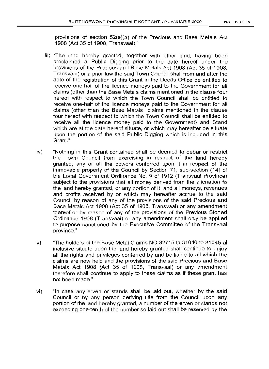provisions of section 52(a)(a) of the Precious and Base Metals Act 1908 (Act 35 of 1908, Transvaal)."

- iii) "The land hereby granted, together with other land, having been proclaimed a Public Digging prior to the date hereof under the provisions of the Precious and Base Metals Act 1908 (Act 35 of 1908, Transvaal) or a prior law the said Town Council shall from and after the date of the registration of this Grant in the Deeds Office be entitled to receive one-half of the licence moneys paid to the Government for all claims (other than the Base Metals claims mentioned in the clause four hereof with respect to which the Town Council shall be entitled to receive one-half of the licence moneys paid to the Government for all claims (other than the Base Metals claims mentioned in the clause four hereof with respect to which the Town Council shall be entitled to receive all the licence money paid to the Government) and Stand which are at the date hereof situate, or which may hereafter be situate upon the portion of the said Public Digging which is included in this Grant."
- iv) "Nothing in this Grant contained shall be deemed to debar or restrict the Town Council from exercising in respect of the land hereby granted, any or all the powers conferred upon it in respect of the immovable property of the Council by Section 71, sub-section (14) of the Local Government Ordinance No.9 of 1912 (Transvaal Province) subject to the provisions that all money derived from the alienation fo the land hereby granted, or any portion of it, and all moneys, revenues and profits received by or which may hereafter accrue to the said Council by reason of any of the provisions of the said Precious and Base Metals Act 1908 (Act 35 of 1908, Transvaal) or any amendment thereof or by reason of any of the provisions of the Previous Stoned Ordinance 1908 (Transvaal) or any amendment shall only be applied to purpose sanctioned by the Executive Committee of the Transvaal province."
- v) "The holders of the Base Metal Claims NO 32715 to 31040 to 31045 al inclusive situate upon the land hereby granted shall continue to enjoy all the rights and privileges conferred by and be liable to all which the claims are now held and the provisions of the said Precious and Base Metals Act 1908 (Act 35 of 1908, Transvaal) or any amendment therefore shall continue to apply to these claims as if these grant has not been made."
- vi) "In case any erven or stands shall be laid out, whether by the said Council or by any person deriving title from the Council upon any portion of the land hereby granted, a number of the erven or stands not exceeding one-tenth of the number so laid out shall be reserved by the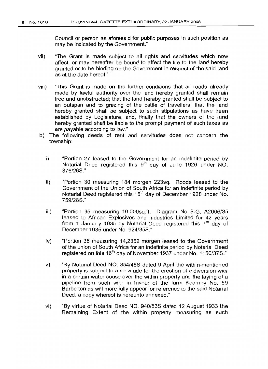Council or person as aforesaid for public purposes in such position as may be indicated by the Government."

- vii) 'The Grant is made subject to all rights and servitudes which now affect, or may hereafter be bound to affect the tile to the land hereby granted or to be binding on the Government in respect of the said land as at the date hereof."
- viii) "This Grant is made on the further conditions that all roads already made by lawful authority over the land hereby granted shall remain free and unobstructed; that the land hereby granted shall be subject to an outspan and to grazing of the cattle of travellers; that the land hereby granted shall be subject to such stipulations as have been established by Legislature, and, finally that the owners of the land hereby granted shall be liable to the prompt payment of such taxes as are payable according to law."
- b) The following deeds of rent and servitudes does not concern the township:
	- i) "Portion 27 leased to the Government for an indefinite period by Notarial Deed registered this  $9<sup>th</sup>$  day of June 1926 under NO. 376/268."
	- ii) "Portion 30 measuring 184 morgen 223sq. Roods leased to the Government of the Union of South Africa for an indefinite period by Notarial Deed registered this 15<sup>th</sup> day of December 1928 under No. 759/288."
	- iii) "Portion 35 measuring 10 OOOsq.ft. Diagram No 8.G. A2006/35 leased to African Explosives and Industries Limited for 42 years from 1 January 1935 by Notarial Deed registered this  $7<sup>th</sup>$  day of December 1935 under No. 924/358."
	- iv) "Portion 36 measuring 14,2352 morgen leased to the Government of the union of South Africa for an indefinite period by Notarial Deed registered on this 16<sup>th</sup> day of November 1937 under No. 1150/37S."
	- v) "By Notarial Deed NO. 354/488 dated 9 April the within-mentioned property is subject to a servitude for the erection of a diversion wier in a certain water couse over the within property and the laying of a pipeline from such wier in favour of the farm Kearney No. 59 Barberton as will more fully appear for reference to the said Notarial Deed, a copy whereof is hereunto annexed."
	- Vi) "By virtue of Notarial Deed NO. *940/538* dated 12 August 1933 the Remaining Extent of the within property measuring as such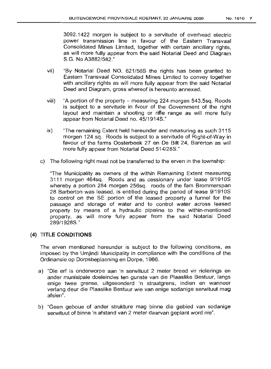3092.1422 morgen is subject to a servitude of overhead electric power transmission line in favour of the Eastern Transvaal Consolidated Mines Limited, together with certain ancillary rights, as will more fully appear from the said Notarial Deed and Diagram 8.G. No A3882/582."

- vii) "By Notarial Deed NO. 621/568 the rights has been granted to Eastern Transvaal Consolidated Mines Limited to convey together with ancillary rights as will more fully appear from the said Notarial Deed and Diagram, gross whereof is hereunto annexed.
- viii) "A portion of the property measuring 224 morgen  $543,5$ sq. Roods is subject to a servitude in fvour of the Government of the right layout and maintain a shooting or rifle range as will more fully appear from Notarial Deed no. 45/1914S."
- ix) "The remaining Extent held hereunder and measuring as such 3115 morgen 124 sq. Roods is subject to a servitude of Right-of-Way in favour of the farms Oosterbeek 27 en De Bilt 24, Barerton as will more fully appear from Notarial Deed 514/288."
- c) The following right must not be transferred to the erven in the township:

"The Municipality as owners of the within Remaining Extent measuring 3111 morgen 464sq. Roods and as cessionary under lease 9/1910S whereby a portion 284 morgen 256sq. roods of the fam Brommerspan 28 Barberton was leased, is entitled during the period of lease 9/1910S to control on the SE portion of the leased property a funnel for the passage and storage of water and to control water across leased property by means of a hydraulic pipeline to the within-mentioned property, as will more fully appear from the said Notarial Deed 289/1928S."

# (4) **TITLE CONDITIONS**

The erven mentioned hereunder is subject to the following conditions, as imposed by the Umjindi Municipality in compliance with the conditions of the Ordinansie op Dorpsbeplanning en Dorpe, 1986.

- a) "Die erf is onderworpe aan 'n serwituut 2 meter breed vir riolerings en ander munisipale doeleindes ten gunste van die Plaaslike Bestuur, langs enige twee grense, uitgesonderd 'n straatgrens, indien en wanneer verlang deur die Plaaslike Bestuur wie van enige sodanige serwituut mag afsien".
- b) "Geen geboue of ander strukture mag binne die gebied van sodanige serwituut of binne 'n afstand van 2 meter daarvan geplant word nie".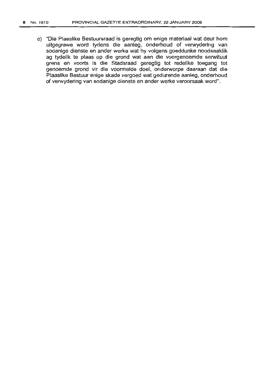c) "Die Plaaslike Bestuursraad is geregtig om enige materiaal wat deur hom uitgegrawe word tydens die aanleg, onderhoud of verwydering van sodanige dienste en ander werke wat hy volgens goeddunke noodsaaklik ag tydelik te plaas op die grond wat aan die voorgenoemde serwituut grens en voorts is die Stadsraad geregtig tot redelike toegang tot genoemde grond vir die voormelde doel, onderworpe daaraan dat die Plaaslike Bestuur enige skade vergoed wat gedurende aanleg, onderhoud of verwydering van sodanige dienste en ander werke veroorsaak word".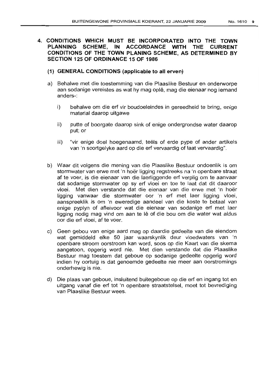# 4. **CONDITIONS WHICH MUST BE INCORPORATED INTO THE TOWN PLANNING SCHEME, IN ACCORDANCE WITH THE CURRENT CONDITIONS OF THE TOWN PLANING SCHEME, AS DETERMINED BY SECTION 125 OF ORDINANCE 15 OF 1986**

- **(1) GENERAL CONDITIONS (applicable to all erven)**
- a) Behalwe met die toestemming van die Plaaslike Bestuur en onderworpe aan sodanige vereistes as wat hy mag ople, mag die eienaar nog iemand anders-:
	- i) behalwe om die erf vir boudoeleindes in gereedheid te bring, enige material daarop uitgawe
	- ii) putte of boorgate daarop sink of enige ondergrondse water daarop put; or
	- iii) "vir enige doel hoegenaamd, teëls of erde pype of ander artikels van 'n soortgelyke aard op die erf vervaardig of laat vervaardig".
- b) VVaar dit volgens die mening van die Plaaslike Bestuur ondoenlik is om stormwater van erwe met 'n hoer ligging regstreeks na 'n openbare straat af te voer, is die eienaar van die laerliggende erf verplig om te aanvaar dat sodanige stormwater op sy erf vloei en toe te laat dat dit daaroor vloei. Met dien verstande dat die eienaar van die erwe met 'n hoer ligging vanwaar die stormwater oor 'n erf met laer ligging vloei, aanspreeklik is om 'n eweredige aandeel van die koste te betaal van enige pyplyn of afleivoor wat die eienaar van sodanige erf met laer ligging nodig mag vind om aan te Iê of die bou om die water wat aldus oor die erf vloei, af te voer.
- c) Geen gebou van enige aard mag op daardie gedeelte van die eiendom wat gemiddeld elke 50 jaar waarskynlik deur vloedwaters van 'n openbare stroom oorstroom kan word, soos op die Kaart van die skema aangetoon, opgerig word nie. Met dien verstande dat die Plaaslike Bestuur mag toestem dat geboue op sodanige gedeelte opgerig word indien hy oortuig is dat genoemde gedeelte nie meer aan oorstromings onderhewig is nie.
- d) Die plaas van geboue, insluitend buitegeboue op die erf en ingang tot en uitgang vanaf die erf tot 'n openbare straatstelsel, moet tot bevrediging van Plaaslike Bestuur wees.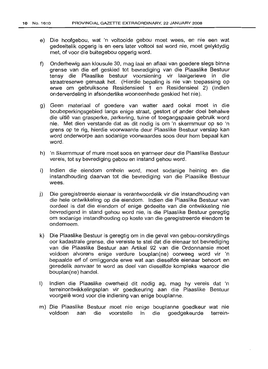- e) Die hoofgebou, wat 'n voltooide gebou moet wees, en nie een wat gedeeltelik opgerig is en eers later voltooi sal word nie, moet gelyktydig met, of voor die buitegebou opgerig word.
- f) Onderhewig aan klousule 30, mag laai en aflaai van goedere slegs binne grense van die erf geskied tot bevrediging van die Plaaslike Bestuur tensy die Plaaslike bestuur voorsiening vir laaigeriewe in die straatreserwe gemaak het. (Hierdie bepaling is nie van toepassing op erwe om gebruiksone Residensieel 1 en Residensieel 2) (Indien onderverdeling in afsonderlike wooneenhede geskied het nie).
- g) Geen materiaal of goedere van watter aard ookal moet in die boubeperkingsgebied langs enige straat, gestort of ander doel behalwe die uitlê van grasperke, parkering, tuine of toegangspaaie gebruik word nie. Met dien verstande dat as dit nodig is om 'n skermmuur op so 'n grens op te rig, hierdie voorwaarde deur Plaaslike Bestuur verslap kan word onderworpe aan sodanige voorwaardes soos deur hom bepaal kan word.
- h) 'n Skermmuur of mure moet soos en wanneer deur die Plaaslike Bestuur vereis, tot sy bevrediging gebou en instand gehou word.
- i) Indien die eiendom omhein word, moet sodanige heining en die instandhouding daarvan tot die bevrediging van die Plaaslike Bestuur wees.
- j) Die geregistreerde eienaar is verantwoordelik vir die instandhouding van die hele ontwikkeling op die eiendom. Indien die Plaaslike Bestuur van oordeel is dat die eiendom of enige gedeelte van die ontwikkeling nie bevredigend in stand gehou word nie, is die Plaaslike Bestuur geregtig om sodanige instandhouding op koste van die geregistreerde eiendom te onderneem.
- k) Die Plaaslike Bestuur is geregtig om in die geval van gebou-oorskrydings oor kadastrale grense, die vereiste te stel dat die eienaar tot bevrediging van die Plaaslike Bestuur aan Artikel 92 van die Ordonnansie moet voldoen alvorens enige verdure bouplan(ne) oorweeg word vir "n bepaalde erf of omliggende erwe wat aan dieselfde eienaar behoort en geredelik aanvaar te word as deel van dieselfde kompleks waaroor die bouplan(ne) handel.
- I) Indien die Plaaslike owerheid dit nodig ag, mag hy vereis dat 'n terreinontwikkelingsplan vir goedkeuring aan die Plaaslike Bestuur voorgelê word voor die indiening van enige bouplanne.
- m) Die Plaaslike Bestuur moet nie enige bouplanne goedkeur wat nie aan die voorstelle in die goedgekeurde terrein-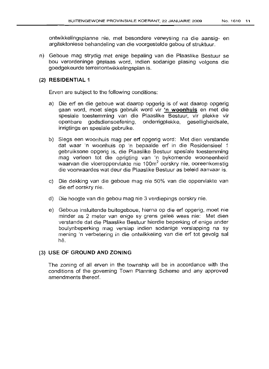ontwikkelingsplanne nie, met besondere verwysing na die aansig- en argitektoniese behandeling van die voorgestelde gebou of struktuur.

n) Geboue mag strydig met enige bepaling van die Plaaslike Bestuur se bou verordeninge geplaas word, indien sodanige plasing volgens die goedgekeurde terreinontwikkelingsplan is.

### (2) RESIDENTIAL 1

Erven are subject to the following conditions:

- a) Die erf en die geboue wat daarop opgerig is of wat daarop opgerig gaan word, moet slegs gebruik word vir 'n woonhuis en met die spesiale toestemming van die Plaaslike Bestuur, vir plekke vir openbare godsdiensoefening, onderrigplekke, geselligheidsale, inrigtings en spesiale gebruike.
- b) Slegs een woonhuis mag per erf opgerig word: Met dien verstande dat waar 'n woonhuis op 'n bepaalde erf in die Residensieel 1 gebruiksone opgerig is, die Plaaslike Bestuur spesiale toestemming mag verleen tot die oprigting van 'n bykomende wooneenheid waarvan die vloeroppervlakte nie 100m<sup>2</sup> oorskry nie, ooreenkomstig die voorwaardes wat deur die Plaaslike Bestuur as beleid aanvaar is.
- c) Die dekking van die geboue mag nie 50% van die oppervlakte van die erf oorskry nie.
- d) Die hoogte van die gebou mag nie 3 verdiepings oorskry nie.
- e) Geboue insluitende buitegeboue, hierna op die erf opgerig, moet nie minder as 2 meter van enige sy grens geleë wees nie: Met dien verstande dat die Plaaslike Bestuur hierdie beperking of enige ander boulynbeperking mag verslap indien sodanige verslapping na sy mening 'n verbetering in die ontwikkeling van die erf tot gevolg sal he.

### (3) USE. OF GROUND AND ZONING

The zoning of all erven in the township will be in accordance with the conditions of the governing Town Planning Scheme and any approved amendments thereof.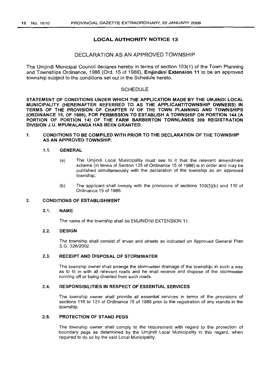### LOCAL AUTHORITY NOTICE 13

### DECLARATION AS AN APPROVED TOWNSHIP

The Umjindi Municipal Council declares hereby in terms of section 103(1) of the Town Planning and Townships Ordinance, 1986 (Ord. 15 of 1986), Emjindini Extension 11 to be an approved township subject to the conditions set out in the Schedule hereto.

#### **SCHEDULE**

STATEMENT OF CONDITIONS UNDER WHICH THE APPLICATION MADE BY THE UMJINDI LOCAL MUNICIPALITY (HEREINAFTER REFERRED TO AS THE APPLICANT/TOWNSHIP OWNERS) IN TERMS OF THE PROVISION OF CHAPTER IV OF THE TOWN PLANNING AND TOWNSHIPS (ORDINANCE 15, OF 1986), FOR PERMISSION TO ESTABLISH A TOWNSHIP ON PORTION 144 (A PORTION OF PORTION 14) OF THE FARM BARBERTON TOWNLANDS 369 REGISTRATION DIVISION J.U. MPUMALANGA HAS BEEN GRANTED.

#### 1. CONDITIONS TO BE COMPILED WITH PRIOR TO THE DECLARATION OF THE TOWNSHIP AS AN APPROVED TOWNSHIP.

#### 1.1. GENERAL

- (a) The Umjindi Local Municipality must see to it that the relevant amendment scheme (in terms of Section 125 of Ordinance 15 of 1986) is in order and may be published simultaneously with the declaration of the township as an approved township;
- (b) The applicant shall comply with the provisions of sections 109(3)(b) and 110 of Ordinance 15 of 1986.

### 2. CONDITIONS OF ESTABLISHMENT

#### 2.1. NAME

The name of the township shall be EMJINDINI EXTENSION 11.

### 2.2. DESIGN

The township shall consist of erven and streets as indicated on Approved General Plan S.G. 326/2002.

#### 2.3. RECEIPT AND DISPOSAL OF STORMWATER

The township owner shall arrange the storm water drainage of the township; in such a way as to fit in with all relevant roads and he shall receive and dispose of the stormwater running off or being diverted from such roads.

#### 2.4. RESPONSIBILITIES IN RESPECT OF ESSENTIAL SERVICES

The township owner shall provide all essential services in terms of the provisions of sections 116 to 121 of Ordinance 15 of 1986 prior to the registration of any stands in the township.

#### 2.5. PROTECTION OF STAND PEGS

The township owner shall comply to the requirement with regard to the protection of boundary pegs as determined by the Umjindi Local Municipality in this regard, when required to do so by the said Local Municipality.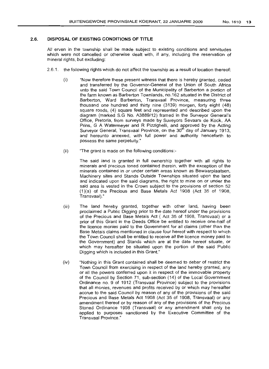#### 2.6. **DISPOSAL OF EXISTING CONDITIONS OF TITLE**

All erven in the township shall be made subject to existing conditions and servitudes which were not cancelled or otherwise dealt with, if any, including the reservation of mineral rights, but excludinq:

- 2.6.1. the following rights which do not affect the township as a result of location thereof:
	- (i) "Now therefore these present witness that there is hereby granted, ceded and transferred by the Governor-General of the Union of South Africa unto the said Town Council of the Municipality of Barberton a portion of the farm known as Barberton Townlands, no.162 situated in the District of Barberton, Ward Barberton, Transvaal Province, measuring three thousand one hundred and thirty nine (3139) morgen, forty eight (48) square roods, (4) square feet and represented and described upon the diagram (marked S.G No. A3889/12) framed in the Surveyor General's Office, Pretoria, from surveys made by Suveyors Sevaars de Kock, AA Prins, G A Watermeyer and R Pizzighelli, and approved by the Acting Surveyor General, Transvaal Province, on the 30<sup>th</sup> day of January 1913, and hereunto annexed, with full power and authority henceforth to possess the same perpetuity."
	- (ii) "The grant is made on the following conditions:-

The said land is granted in full ownership together with all rights to minerals and precious toned contained therein, with the exception of the minerals contained in or under certain areas known as Bewaarplaatsen, Machinery sites and Stands Outside Townships situated upon the land and indicated upon the said diagrams, the right to mine on or under the said area is vested in the Crown subject to the provisions of section 52 (1)(a) of the Precious and Base Metals Act 1908 (Act 35 of 1908, Transvaal)."

- (iii) The land hereby granted, together with other land, havinq been proclaimed a Public Digging prior to the date hereof under the provisions of the Precious and Base Metals Act ( Act 35 of 1908, Transvaal) or a prior of this Grant in the Deeds Office be entitled to receive one-half of the licence monies paid to the Government for all claims (other than the Base Metals claims mentioned in clause four hereof with respect to which the Town Council shall be entitled to receive all the licence money paid to the Government) and Stands which are at the date hereof situate, or which may hereafter be situated upon the portion of the said Public Digging which is included in this Grant."
- (iv) "Nothing in this Grant contained shall be deemed to debar of restrict the Town Council from exercising in respect of the land hereby granted, any or all the powers conferred upon it in respect of the immovable property of the Council by Section 71, sub-section (14) of the Local Government Ordinance no. 9 of 1912 (Transvaal Province) subject to the provisions that all monies, revenues and profits received by or which may hereafter accrue to the said Council by reason of any of the provisions of the said Precious and Base Metals Act 1908 (Act 35 of 1908, Transvaal) or any amendment thereof or by reason of any of the provisions of the Precious Stoned Ordinance 1908 (Transvaal) or any amendment shall only be applied to purposes sanctioned by the Executive Committee of the Transvaal Province."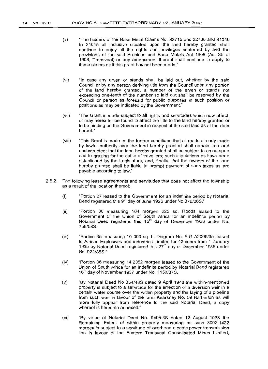- (v) "The holders of the Base Metal Claims No. 32715 and 32738 and 31040 to 31045 all inclusive situated upon the land hereby granted shall continue to enjoy all the rights and privileges conferred by and the provisions of the said Precious and Base Metals Act 1908 (Act 35 of 1908, Transvaal) or any amendment thereof shall continue to apply to these claims as if this grant has not been made."
- (vi) "In case any erven or stands shall be laid out, whether by the said Council or by any person deriving title from the Council upon any portion of the land hereby granted, a number of the erven or stands not exceeding one-tenth of the number so laid out shall be reserved by the Council or person as foresaid for public purposes in such position or positions as may be indicated by the Government."
- (vii) "The Grant is made subject to all rights and servitudes which now affect, or may hereafter be found to affect the title to the land hereby granted or to be binding on the Government in respect of the said land as at the date hereof."
- (viii) "This Grant is made on the further conditions that all roads already made by lawful authority over the land hereby granted shall remain free and unobstructed; that the land hereby granted shall be subject to an outspan and to grazing for the cattle of travellers; such stipulations as have been established by the Legislature; and, finally, that the owners of the land hereby granted shall be liable to prompt payment of such taxes as are payable according to law."
- 2.6.2. The following lease agreements and servitudes that does not affect the township as a result of the location thereof:
	- (i) "Portion 27 leased to the Government for an indefinite period by Notarial Deed registered this 9<sup>th</sup> day of June 1926 under No.376/26S."
	- (ii) "Portion 30 measuring 184 morgen 223 sq. Roods leased to the Government of the Union of South Africa for an indefinite period by Notarial Deed registered this 15<sup>th</sup> day of December 1928 under No. 759/58S.
	- (iii) "Portion 35 measuring 10 000 sq. ft. Diagram No. S.G A2006/35 leased to African Explosives and industries Limited for 42 years from 1 January 1935 by Notarial Deed registered this  $27<sup>th</sup>$  day of December 1935 under No. 924/35S."
	- (iv) "Portion 36 measuring 14,2352 morgen leased to the Government of the Union of South Africa for an indefinite period by Notarial Deed registered 16<sup>th</sup> day of November 1937 under No. 1150/37S.
	- (v) "By Notarial Deed No 354/48S dated 9 April 1948 the within-mentioned property is subject to a servitude for the errection of a diversion weir in a certain water course over the within property and the laying of a pipeline from such weir in favour of the farm Kearsney No. 59 Barberton as will more fully appear from reference to the said Notarial Deed, a copy whereof is hereunto annexed."
	- (vi) "By virtue of Notarial Deed No. 940/53S dated 12 August 1933 the Remaining Extent of within property measuring as such 3092.1422 morgen is subject to a servitude of overhead electric power transmission line in favour of the Eastern Transvaal Consolidated Mines Limited,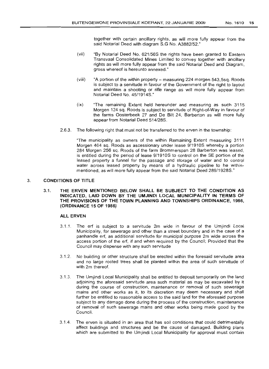together with certain ancillary rights, as will more fully appear from the said Notarial Deed with diagram 8.G No. A3882/52."

- (vii) "By Notarial Deed No. 621/568 the rights have been granted to Eastern Transvaal Consolidated Mines Limited to convey together with ancillary rights as will more fully appear from the said Notarial Deed and Diagram, gross whereof is hereunto annexed."
- (viii) "A portion of the within property measuring 224 morgen 543,5sq. Roods is subject to a servitude in favour of the Government of the right to layout and maintain a shooting or rifle range as will more fully appear from Notarial Deed No. 45/19148."
- (ix) "The remaining Extent held hereunder and measuring as such 3115 Morgen 124 sq. Roods is subject to servitude of Right-of-Way in favour of the farms Oosterbeek 27 and De Bilt 24, Barberton as will more fully appear from Notarial Deed 514/288.
- 2.6.3. The following right that must not be transferred to the erven in the township:

"The municipality as owners of the within Remaining Extent measuring 3111 Morgen 464 sq. Roods as ascessionary under lease 9/19108 whereby a portion 284 Morgen 256 sq. Roods of the farm Brommerspan 28 Barberton was leased, is entitled during the period of lease 9/19108 to control on the 8E portion of the leased property a funnel for the passage and storage of water and to control water across leased property by means of a hydraulic pipeline to he withinmentioned, as will more fully appear from the said Notarial Deed 289/19288."

### 3. CONDITIONS OF TITLE

#### 3.1. THE ERVEN MENTIONED BELOW SHALL BE SUBJECT TO THE CONDITION AS INDICATED, LAID DOWN BY THE UMJINDI LOCAL MUNICIPALITY IN TERMS OF THE PROVISIONS OF THE TOWN PLANNING AND TOWNSHIPS ORDINANCE, 1986, (ORDINANCE 15 OF 1986)

#### ALL ERVEN

- 3.1.1. The erf is subject to a servitude 2m wide in favour of the Umjindi Local Municipality, for sewerage and other than a street boundary and in the case of a panhandle erf, as additional servitude for municipal purpose 2m wide across the access portion of the erf, if and when required by the Council; Provided that the Council may dispense with any such servitude
- 3.1.2. No building or other structure shall be erected within the foresaid servitude area and no large rooted trees shall be planted within the area of such servitude of with 2m thereof.
- 3.1.3. The Umjindi Local Municipality shall be entitled to deposit temporarily on the land adjoining the aforesaid servitude area such material as may be excavated by it during the course of construction, maintenance or removal of such sewerage mains and other works as it, to its discretion may deem necessary and shall further be entitled to reasonable access to the said land for the aforesaid purpose subject to any damage done during the process of the construction, maintenance of removal of such sewerage mains and other works being made good by the Council.
- 3.1.4. The erven is situated in an area that has soil conditions that could detrimentally affect buildings and structures and be the cause of damaged. Building plans which are submitted to the Umiindi Local Municipality for approval must contain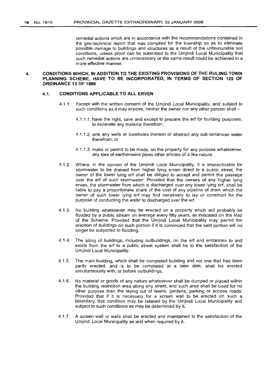remedial actions which are in accordance with the recommendations contained in the geo-technical report that was compiled for the township so as to eliminate possible damage to buildings and structures as a result of the unfavourable soil conditions, unless proof can be submitted to the Umjindi Local Municipality that such remedial actions are unnecessary or the same result could be achieved in a more effective manner.

### **4. CONDITIONS WHICH, IN ADDITION TO THE EXISTING PROVISIONS OF THE RULING TOWN PLANNING SCHEME, HAVE TO BE INCORPORATED, IN 'rERMS OF SECTION 125 OF ORDINANCE 15 OF 1986**

#### 4.1. **CONDITIONS APPLICABLE TO ALL ERVEN**

- 4.1.1. Except with the written consent of the Umjindi Local Municipality, and subject to such conditions as it may impose, neither the owner nor any other person shall -
	- 4.1.1.1. have the right, save and except to prepare the erf for building purposes, to excavate any material therefrom;
	- 4.1.1.2. sink any wells or boreholes thereon or abstract any sub-terranean water therefrom; or
	- 4.1.1.3. make or permit to be made, on the property for any purpose whatsoever, any tiles of earthenware pipes other articles of a like nature.
- 4.1.2. Where, in the opinion of the Umjindi Local Municipality, it is impracticable for stormwater to be drained from higher lying erven direct to a public street, the owner of the lower lying erf shall be obliged to accept and permit the passage over the erf of such stormwater: Provided that the owners of any higher lying erven, the stormwater from which is discharged over any lower lying erf, shall be liable to pay a proportionate share of the cost of any pipeline of drain which the owner of such lower lying erf may find necessary to lay or construct for the purpose of conducting the water to discharged over the erf.
- 4.1.3. No building whatsoever may be erected on a property which will probably be flooded by a public stream on average every fifty years, as indicated on the Map of the Scheme: Provided that the Umjindi Local Municipality may permit the erection of buildings on such portion if it is convinced that the said portion will no longer be subjected to flooding.
- 4.1.4. The siting of buildings, including outbuildings, on the erf and entrances to and exists from the erf to a public street system shall be to the satisfaction of the Umjindi Local Municipality.
- 4.1.5. The main building, which shall be completed building and not one that has been partly erected, and is to be completed at a later date, shall be erected simultaneously with, or before outbuildings.
- 4.1.6. No material or goods of any nature whatsoever shall be dumped or placed within the building restriction area along any street, and such area shall be used for no other purpose than the laying out of lawns, gardens, parking or access roads: Provided that if it is necessary for a screen wall to be erected on such a boundary, this condition may be relaxed by the Umjindi Local Municipality and subject to such conditions as may be determined by it.
- 4.1.7. A screen wall or walls shall be erected and maintained to the satisfaction of the Umjindi Local Municipality as and when required by it.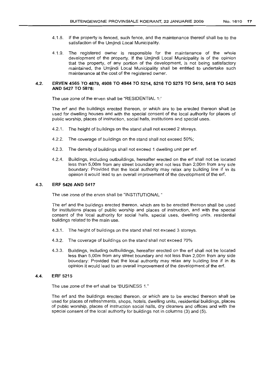- 4.1.8. If the property is fenced, such fence, and the maintenance thereof shall be to the satisfaction of the Umjindi Local Municipality.
- 4.1.9. The registered owner is responsible for the maintenance of the whole development of the property. If the Umjindi Local Municipality is of the opinion that the property, of any portion of the development, is not being satisfactory maintained, the Umjindi Local Municipality shall be entitled to undertake such maintenance at the cost of the registered owner.

#### 4.2. ERVEN 4565 TO 4879,4908 TO 4944 TO 5214, 5216 TO 5275 TO 5416, 5418 TO 5425 AND 5427 TO 5878:

The use zone of the erven shall be "RESIDENTIAL 1:'

The erf and the buildinqs erected thereon, or which are to be erected thereon shall be used for dwelling houses and with the special consent of the local authority for places of public worship, places of instruction, social halls, institutions and special uses.

- 4.2.1. The height of buildings on the stand shall not exceed 2 storeys.
- 4.2.2. The coverage of buildings on the stand shall not exceed 50%;
- 4.2.3. The density of buildings shall not exceed 1 dwelling unit per erf.
- 4.2.4. Buildings, including outbuildings, hereafter erected on the erf shall not be located less than 5,00m from any street boundary and not less than 2,00m from any side boundary: Provided that the local authority may relax any building line if in its opinion it would lead to an overall improvement of the development of the erf.

#### 4.3. ERF 5426 AND 5417

The use zone of the erven shall be "INSTITUTIONAL "

The erf and the buildings erected thereon, which are to be erected thereon shall be used for institutions places of public worship and places of instruction, and with the special consent of the local authority for social halls, special uses, dwelling units, residential buildings related to the main use.

- 4.3.1. The height of buildings on the stand shall not exceed 3 storeys.
- 4.3.2. The coverage of buildings on the stand shall not exceed 70%
- 4.3.3. Buildings, including outbuildings, hereafter erected on the erf shall not be located less than 5,00m from any street boundary and not less than 2,00m from any side boundary: Provided that the local authority may relax any building line if in its opinion it would lead to an overall improvement of the development of the erf.

#### 4.4. ERF 5215

The use zone of the erf shall be "BUSINESS 1."

The erf and the buildings erected thereon, or which are to be erected thereon shall be used for places of refreshments, shops, hotels, dwelling units, residential buildings, places of public worship, places of instruction social halls, dry cleaners and offices and with the special consent of the local authority for buildings not in columns (3) and (5).